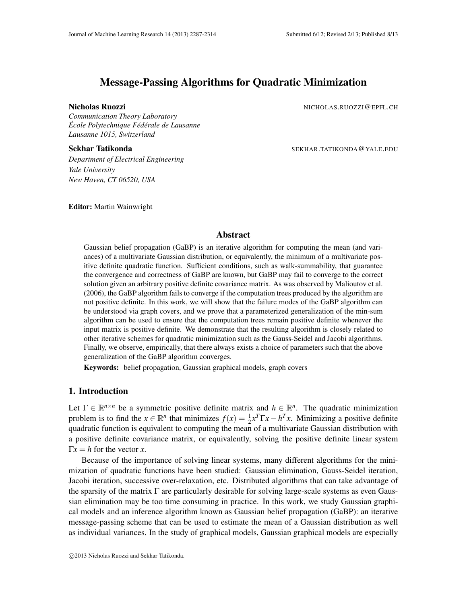# Message-Passing Algorithms for Quadratic Minimization

*Communication Theory Laboratory Ecole Polytechnique F ´ ed´ erale de Lausanne ´ Lausanne 1015, Switzerland*

Nicholas Ruozzi **Nicholas Ruozzi de Anticholas Ruozzi (Regionalista e Anticholas Ruozzi (Regionalista e Anticholas Ruozzi (Regionalista e Anticholas Ruozzi (Regionalista e Anticholas Ruozzi (Regionalista e Anticholas Ruozz** 

Sekhar Tatikonda Sekhar Tatikonda SEKHAR. TATIKONDA @YALE.EDU

*Department of Electrical Engineering Yale University New Haven, CT 06520, USA*

Editor: Martin Wainwright

# Abstract

Gaussian belief propagation (GaBP) is an iterative algorithm for computing the mean (and variances) of a multivariate Gaussian distribution, or equivalently, the minimum of a multivariate positive definite quadratic function. Sufficient conditions, such as walk-summability, that guarantee the convergence and correctness of GaBP are known, but GaBP may fail to converge to the correct solution given an arbitrary positive definite covariance matrix. As was observed by Malioutov et al. (2006), the GaBP algorithm fails to converge if the computation trees produced by the algorithm are not positive definite. In this work, we will show that the failure modes of the GaBP algorithm can be understood via graph covers, and we prove that a parameterized generalization of the min-sum algorithm can be used to ensure that the computation trees remain positive definite whenever the input matrix is positive definite. We demonstrate that the resulting algorithm is closely related to other iterative schemes for quadratic minimization such as the Gauss-Seidel and Jacobi algorithms. Finally, we observe, empirically, that there always exists a choice of parameters such that the above generalization of the GaBP algorithm converges.

Keywords: belief propagation, Gaussian graphical models, graph covers

# 1. Introduction

Let  $\Gamma \in \mathbb{R}^{n \times n}$  be a symmetric positive definite matrix and  $h \in \mathbb{R}^n$ . The quadratic minimization problem is to find the  $x \in \mathbb{R}^n$  that minimizes  $f(x) = \frac{1}{2}x^T \Gamma x - h^T x$ . Minimizing a positive definite quadratic function is equivalent to computing the mean of a multivariate Gaussian distribution with a positive definite covariance matrix, or equivalently, solving the positive definite linear system  $\Gamma x = h$  for the vector *x*.

Because of the importance of solving linear systems, many different algorithms for the minimization of quadratic functions have been studied: Gaussian elimination, Gauss-Seidel iteration, Jacobi iteration, successive over-relaxation, etc. Distributed algorithms that can take advantage of the sparsity of the matrix  $\Gamma$  are particularly desirable for solving large-scale systems as even Gaussian elimination may be too time consuming in practice. In this work, we study Gaussian graphical models and an inference algorithm known as Gaussian belief propagation (GaBP): an iterative message-passing scheme that can be used to estimate the mean of a Gaussian distribution as well as individual variances. In the study of graphical models, Gaussian graphical models are especially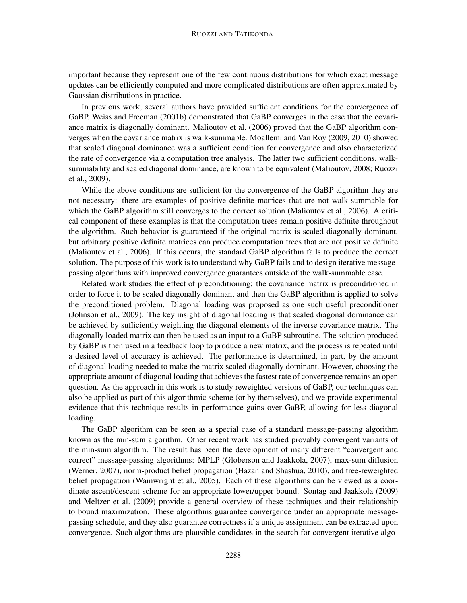important because they represent one of the few continuous distributions for which exact message updates can be efficiently computed and more complicated distributions are often approximated by Gaussian distributions in practice.

In previous work, several authors have provided sufficient conditions for the convergence of GaBP. Weiss and Freeman (2001b) demonstrated that GaBP converges in the case that the covariance matrix is diagonally dominant. Malioutov et al. (2006) proved that the GaBP algorithm converges when the covariance matrix is walk-summable. Moallemi and Van Roy (2009, 2010) showed that scaled diagonal dominance was a sufficient condition for convergence and also characterized the rate of convergence via a computation tree analysis. The latter two sufficient conditions, walksummability and scaled diagonal dominance, are known to be equivalent (Malioutov, 2008; Ruozzi et al., 2009).

While the above conditions are sufficient for the convergence of the GaBP algorithm they are not necessary: there are examples of positive definite matrices that are not walk-summable for which the GaBP algorithm still converges to the correct solution (Malioutov et al., 2006). A critical component of these examples is that the computation trees remain positive definite throughout the algorithm. Such behavior is guaranteed if the original matrix is scaled diagonally dominant, but arbitrary positive definite matrices can produce computation trees that are not positive definite (Malioutov et al., 2006). If this occurs, the standard GaBP algorithm fails to produce the correct solution. The purpose of this work is to understand why GaBP fails and to design iterative messagepassing algorithms with improved convergence guarantees outside of the walk-summable case.

Related work studies the effect of preconditioning: the covariance matrix is preconditioned in order to force it to be scaled diagonally dominant and then the GaBP algorithm is applied to solve the preconditioned problem. Diagonal loading was proposed as one such useful preconditioner (Johnson et al., 2009). The key insight of diagonal loading is that scaled diagonal dominance can be achieved by sufficiently weighting the diagonal elements of the inverse covariance matrix. The diagonally loaded matrix can then be used as an input to a GaBP subroutine. The solution produced by GaBP is then used in a feedback loop to produce a new matrix, and the process is repeated until a desired level of accuracy is achieved. The performance is determined, in part, by the amount of diagonal loading needed to make the matrix scaled diagonally dominant. However, choosing the appropriate amount of diagonal loading that achieves the fastest rate of convergence remains an open question. As the approach in this work is to study reweighted versions of GaBP, our techniques can also be applied as part of this algorithmic scheme (or by themselves), and we provide experimental evidence that this technique results in performance gains over GaBP, allowing for less diagonal loading.

The GaBP algorithm can be seen as a special case of a standard message-passing algorithm known as the min-sum algorithm. Other recent work has studied provably convergent variants of the min-sum algorithm. The result has been the development of many different "convergent and correct" message-passing algorithms: MPLP (Globerson and Jaakkola, 2007), max-sum diffusion (Werner, 2007), norm-product belief propagation (Hazan and Shashua, 2010), and tree-reweighted belief propagation (Wainwright et al., 2005). Each of these algorithms can be viewed as a coordinate ascent/descent scheme for an appropriate lower/upper bound. Sontag and Jaakkola (2009) and Meltzer et al. (2009) provide a general overview of these techniques and their relationship to bound maximization. These algorithms guarantee convergence under an appropriate messagepassing schedule, and they also guarantee correctness if a unique assignment can be extracted upon convergence. Such algorithms are plausible candidates in the search for convergent iterative algo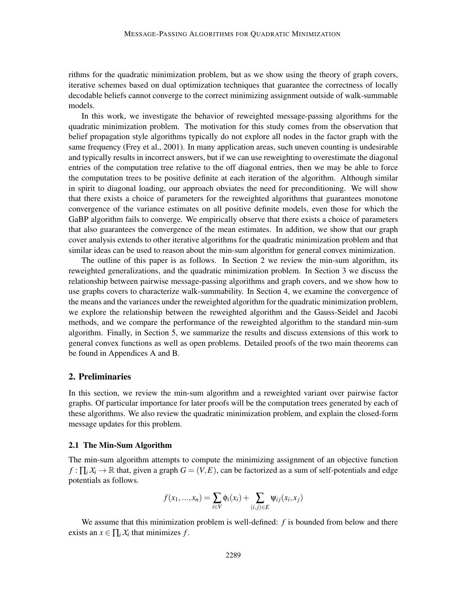rithms for the quadratic minimization problem, but as we show using the theory of graph covers, iterative schemes based on dual optimization techniques that guarantee the correctness of locally decodable beliefs cannot converge to the correct minimizing assignment outside of walk-summable models.

In this work, we investigate the behavior of reweighted message-passing algorithms for the quadratic minimization problem. The motivation for this study comes from the observation that belief propagation style algorithms typically do not explore all nodes in the factor graph with the same frequency (Frey et al., 2001). In many application areas, such uneven counting is undesirable and typically results in incorrect answers, but if we can use reweighting to overestimate the diagonal entries of the computation tree relative to the off diagonal entries, then we may be able to force the computation trees to be positive definite at each iteration of the algorithm. Although similar in spirit to diagonal loading, our approach obviates the need for preconditioning. We will show that there exists a choice of parameters for the reweighted algorithms that guarantees monotone convergence of the variance estimates on all positive definite models, even those for which the GaBP algorithm fails to converge. We empirically observe that there exists a choice of parameters that also guarantees the convergence of the mean estimates. In addition, we show that our graph cover analysis extends to other iterative algorithms for the quadratic minimization problem and that similar ideas can be used to reason about the min-sum algorithm for general convex minimization.

The outline of this paper is as follows. In Section 2 we review the min-sum algorithm, its reweighted generalizations, and the quadratic minimization problem. In Section 3 we discuss the relationship between pairwise message-passing algorithms and graph covers, and we show how to use graphs covers to characterize walk-summability. In Section 4, we examine the convergence of the means and the variances under the reweighted algorithm for the quadratic minimization problem, we explore the relationship between the reweighted algorithm and the Gauss-Seidel and Jacobi methods, and we compare the performance of the reweighted algorithm to the standard min-sum algorithm. Finally, in Section 5, we summarize the results and discuss extensions of this work to general convex functions as well as open problems. Detailed proofs of the two main theorems can be found in Appendices A and B.

# 2. Preliminaries

In this section, we review the min-sum algorithm and a reweighted variant over pairwise factor graphs. Of particular importance for later proofs will be the computation trees generated by each of these algorithms. We also review the quadratic minimization problem, and explain the closed-form message updates for this problem.

### 2.1 The Min-Sum Algorithm

The min-sum algorithm attempts to compute the minimizing assignment of an objective function  $f: \prod_i X_i \to \mathbb{R}$  that, given a graph  $G = (V, E)$ , can be factorized as a sum of self-potentials and edge potentials as follows.

$$
f(x_1,...,x_n) = \sum_{i \in V} \phi_i(x_i) + \sum_{(i,j) \in E} \psi_{ij}(x_i,x_j)
$$

We assume that this minimization problem is well-defined: *f* is bounded from below and there exists an  $x \in \prod_i X_i$  that minimizes *f*.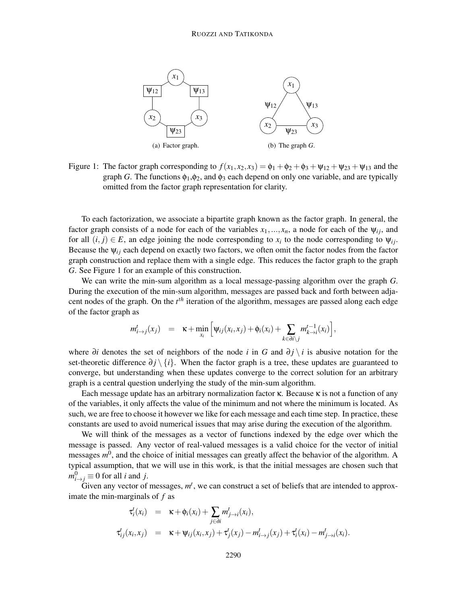

Figure 1: The factor graph corresponding to  $f(x_1, x_2, x_3) = \phi_1 + \phi_2 + \phi_3 + \psi_{12} + \psi_{23} + \psi_{13}$  and the graph *G*. The functions  $\phi_1, \phi_2$ , and  $\phi_3$  each depend on only one variable, and are typically omitted from the factor graph representation for clarity.

To each factorization, we associate a bipartite graph known as the factor graph. In general, the factor graph consists of a node for each of the variables  $x_1, \ldots, x_n$ , a node for each of the  $\psi_{ij}$ , and for all  $(i, j) \in E$ , an edge joining the node corresponding to  $x_i$  to the node corresponding to  $\psi_{ij}$ . Because the  $\psi_{ij}$  each depend on exactly two factors, we often omit the factor nodes from the factor graph construction and replace them with a single edge. This reduces the factor graph to the graph *G*. See Figure 1 for an example of this construction.

We can write the min-sum algorithm as a local message-passing algorithm over the graph *G*. During the execution of the min-sum algorithm, messages are passed back and forth between adjacent nodes of the graph. On the *t th* iteration of the algorithm, messages are passed along each edge of the factor graph as

$$
m_{i\to j}^t(x_j) = \kappa + \min_{x_i} \left[ \psi_{ij}(x_i, x_j) + \phi_i(x_i) + \sum_{k \in \partial i \setminus j} m_{k\to i}^{t-1}(x_i) \right],
$$

where ∂*i* denotes the set of neighbors of the node *i* in *G* and ∂ *j* \ *i* is abusive notation for the set-theoretic difference  $\partial j \setminus \{i\}$ . When the factor graph is a tree, these updates are guaranteed to converge, but understanding when these updates converge to the correct solution for an arbitrary graph is a central question underlying the study of the min-sum algorithm.

Each message update has an arbitrary normalization factor  $\kappa$ . Because  $\kappa$  is not a function of any of the variables, it only affects the value of the minimum and not where the minimum is located. As such, we are free to choose it however we like for each message and each time step. In practice, these constants are used to avoid numerical issues that may arise during the execution of the algorithm.

We will think of the messages as a vector of functions indexed by the edge over which the message is passed. Any vector of real-valued messages is a valid choice for the vector of initial messages  $m^0$ , and the choice of initial messages can greatly affect the behavior of the algorithm. A typical assumption, that we will use in this work, is that the initial messages are chosen such that  $m_{i\rightarrow j}^0 \equiv 0$  for all *i* and *j*.

Given any vector of messages,  $m<sup>t</sup>$ , we can construct a set of beliefs that are intended to approximate the min-marginals of *f* as

$$
\tau_i^t(x_i) = \kappa + \phi_i(x_i) + \sum_{j \in \partial i} m_{j \to i}^t(x_i),
$$
  

$$
\tau_{ij}^t(x_i, x_j) = \kappa + \psi_{ij}(x_i, x_j) + \tau_j^t(x_j) - m_{i \to j}^t(x_j) + \tau_i^t(x_i) - m_{j \to i}^t(x_i).
$$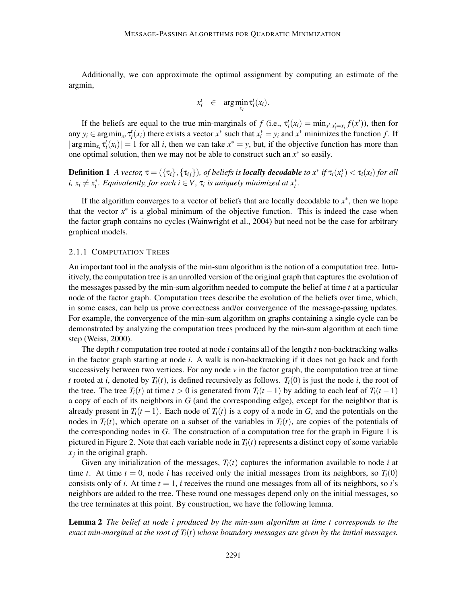Additionally, we can approximate the optimal assignment by computing an estimate of the argmin,

$$
x_i^t \in \arg\min_{x_i} \tau_i^t(x_i).
$$

If the beliefs are equal to the true min-marginals of  $f$  (i.e.,  $\tau_i^t(x_i) = \min_{x^t : x_i^t = x_i} f(x^t)$ ), then for any  $y_i \in \arg\min_{x_i} \tau_i^t(x_i)$  there exists a vector  $x^*$  such that  $x_i^* = y_i$  and  $x^*$  minimizes the function *f*. If  $|\arg\min_{x_i} \tau_i^t(x_i)| = 1$  for all *i*, then we can take  $x^* = y$ , but, if the objective function has more than one optimal solution, then we may not be able to construct such an  $x^*$  so easily.

**Definition 1** A vector,  $\tau = (\{\tau_i\}, \{\tau_{ij}\})$ , of beliefs is **locally decodable** to  $x^*$  if  $\tau_i(x_i^*) < \tau_i(x_i)$  for all *i*,  $x_i \neq x_i^*$ . Equivalently, for each  $i \in V$ ,  $\tau_i$  is uniquely minimized at  $x_i^*$ .

If the algorithm converges to a vector of beliefs that are locally decodable to  $x^*$ , then we hope that the vector  $x^*$  is a global minimum of the objective function. This is indeed the case when the factor graph contains no cycles (Wainwright et al., 2004) but need not be the case for arbitrary graphical models.

#### 2.1.1 COMPUTATION TREES

An important tool in the analysis of the min-sum algorithm is the notion of a computation tree. Intuitively, the computation tree is an unrolled version of the original graph that captures the evolution of the messages passed by the min-sum algorithm needed to compute the belief at time *t* at a particular node of the factor graph. Computation trees describe the evolution of the beliefs over time, which, in some cases, can help us prove correctness and/or convergence of the message-passing updates. For example, the convergence of the min-sum algorithm on graphs containing a single cycle can be demonstrated by analyzing the computation trees produced by the min-sum algorithm at each time step (Weiss, 2000).

The depth *t* computation tree rooted at node *i* contains all of the length *t* non-backtracking walks in the factor graph starting at node *i*. A walk is non-backtracking if it does not go back and forth successively between two vertices. For any node  $\nu$  in the factor graph, the computation tree at time *t* rooted at *i*, denoted by  $T_i(t)$ , is defined recursively as follows.  $T_i(0)$  is just the node *i*, the root of the tree. The tree  $T_i(t)$  at time  $t > 0$  is generated from  $T_i(t-1)$  by adding to each leaf of  $T_i(t-1)$ a copy of each of its neighbors in *G* (and the corresponding edge), except for the neighbor that is already present in  $T_i(t-1)$ . Each node of  $T_i(t)$  is a copy of a node in *G*, and the potentials on the nodes in  $T_i(t)$ , which operate on a subset of the variables in  $T_i(t)$ , are copies of the potentials of the corresponding nodes in *G*. The construction of a computation tree for the graph in Figure 1 is pictured in Figure 2. Note that each variable node in  $T_i(t)$  represents a distinct copy of some variable *xj* in the original graph.

Given any initialization of the messages,  $T_i(t)$  captures the information available to node *i* at time *t*. At time  $t = 0$ , node *i* has received only the initial messages from its neighbors, so  $T_i(0)$ consists only of *i*. At time  $t = 1$ , *i* receives the round one messages from all of its neighbors, so *i*'s neighbors are added to the tree. These round one messages depend only on the initial messages, so the tree terminates at this point. By construction, we have the following lemma.

Lemma 2 *The belief at node i produced by the min-sum algorithm at time t corresponds to the exact min-marginal at the root of*  $T_i(t)$  *whose boundary messages are given by the initial messages.*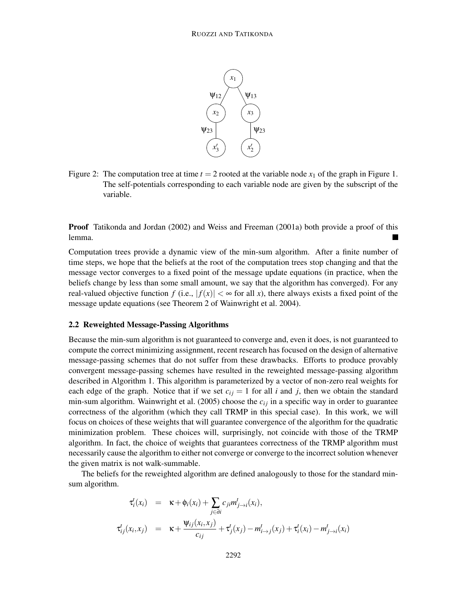

Figure 2: The computation tree at time  $t = 2$  rooted at the variable node  $x_1$  of the graph in Figure 1. The self-potentials corresponding to each variable node are given by the subscript of the variable.

Proof Tatikonda and Jordan (2002) and Weiss and Freeman (2001a) both provide a proof of this lemma.

Computation trees provide a dynamic view of the min-sum algorithm. After a finite number of time steps, we hope that the beliefs at the root of the computation trees stop changing and that the message vector converges to a fixed point of the message update equations (in practice, when the beliefs change by less than some small amount, we say that the algorithm has converged). For any real-valued objective function  $f$  (i.e.,  $|f(x)| < \infty$  for all x), there always exists a fixed point of the message update equations (see Theorem 2 of Wainwright et al. 2004).

#### 2.2 Reweighted Message-Passing Algorithms

Because the min-sum algorithm is not guaranteed to converge and, even it does, is not guaranteed to compute the correct minimizing assignment, recent research has focused on the design of alternative message-passing schemes that do not suffer from these drawbacks. Efforts to produce provably convergent message-passing schemes have resulted in the reweighted message-passing algorithm described in Algorithm 1. This algorithm is parameterized by a vector of non-zero real weights for each edge of the graph. Notice that if we set  $c_{ij} = 1$  for all *i* and *j*, then we obtain the standard min-sum algorithm. Wainwright et al. (2005) choose the  $c_{ij}$  in a specific way in order to guarantee correctness of the algorithm (which they call TRMP in this special case). In this work, we will focus on choices of these weights that will guarantee convergence of the algorithm for the quadratic minimization problem. These choices will, surprisingly, not coincide with those of the TRMP algorithm. In fact, the choice of weights that guarantees correctness of the TRMP algorithm must necessarily cause the algorithm to either not converge or converge to the incorrect solution whenever the given matrix is not walk-summable.

The beliefs for the reweighted algorithm are defined analogously to those for the standard minsum algorithm.

$$
\tau_i^t(x_i) = \kappa + \phi_i(x_i) + \sum_{j \in \partial i} c_{ji} m_{j \to i}^t(x_i),
$$
  

$$
\tau_{ij}^t(x_i, x_j) = \kappa + \frac{\Psi_{ij}(x_i, x_j)}{c_{ij}} + \tau_{j}^t(x_j) - m_{i \to j}^t(x_j) + \tau_{i}^t(x_i) - m_{j \to i}^t(x_i)
$$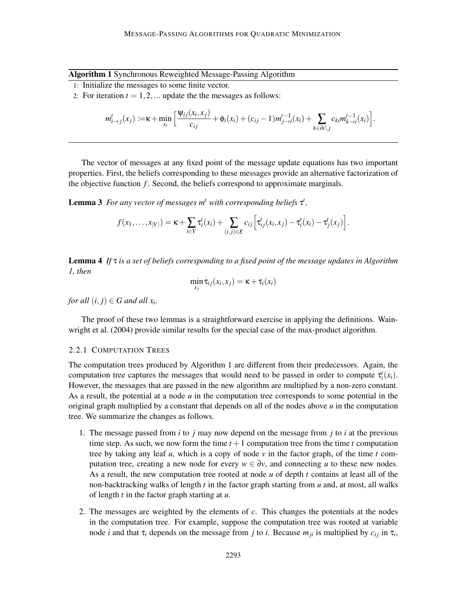Algorithm 1 Synchronous Reweighted Message-Passing Algorithm

- 1: Initialize the messages to some finite vector.
- 2: For iteration  $t = 1, 2, \dots$  update the the messages as follows:

$$
m_{i\to j}^t(x_j) := \kappa + \min_{x_i} \left[ \frac{\Psi_{ij}(x_i, x_j)}{c_{ij}} + \phi_i(x_i) + (c_{ij} - 1) m_{j\to i}^{t-1}(x_i) + \sum_{k \in \partial i \setminus j} c_{ki} m_{k\to i}^{t-1}(x_i) \right].
$$

The vector of messages at any fixed point of the message update equations has two important properties. First, the beliefs corresponding to these messages provide an alternative factorization of the objective function  $f$ . Second, the beliefs correspond to approximate marginals.

**Lemma 3** For any vector of messages  $m<sup>t</sup>$  with corresponding beliefs  $\tau<sup>t</sup>$ ,

$$
f(x_1,\ldots,x_{|V|})=\kappa+\sum_{i\in V}\tau'_i(x_i)+\sum_{(i,j)\in E}c_{ij}\left[\tau'_{ij}(x_i,x_j)-\tau'_i(x_i)-\tau'_j(x_j)\right].
$$

Lemma 4 *If* τ *is a set of beliefs corresponding to a fixed point of the message updates in Algorithm 1, then*

$$
\min_{x_j} \tau_{ij}(x_i, x_j) = \kappa + \tau_i(x_i)
$$

*for all*  $(i, j) \in G$  *and all*  $x_i$ .

The proof of these two lemmas is a straightforward exercise in applying the definitions. Wainwright et al. (2004) provide similar results for the special case of the max-product algorithm.

# 2.2.1 COMPUTATION TREES

The computation trees produced by Algorithm 1 are different from their predecessors. Again, the computation tree captures the messages that would need to be passed in order to compute  $\tau_i^t(x_i)$ . However, the messages that are passed in the new algorithm are multiplied by a non-zero constant. As a result, the potential at a node *u* in the computation tree corresponds to some potential in the original graph multiplied by a constant that depends on all of the nodes above  $u$  in the computation tree. We summarize the changes as follows.

- 1. The message passed from *i* to *j* may now depend on the message from *j* to *i* at the previous time step. As such, we now form the time  $t + 1$  computation tree from the time  $t$  computation tree by taking any leaf *u*, which is a copy of node  $\nu$  in the factor graph, of the time *t* computation tree, creating a new node for every  $w \in \partial y$ , and connecting *u* to these new nodes. As a result, the new computation tree rooted at node *u* of depth *t* contains at least all of the non-backtracking walks of length *t* in the factor graph starting from *u* and, at most, all walks of length *t* in the factor graph starting at *u*.
- 2. The messages are weighted by the elements of *c*. This changes the potentials at the nodes in the computation tree. For example, suppose the computation tree was rooted at variable node *i* and that  $\tau_i$  depends on the message from *j* to *i*. Because  $m_{ji}$  is multiplied by  $c_{ij}$  in  $\tau_i$ ,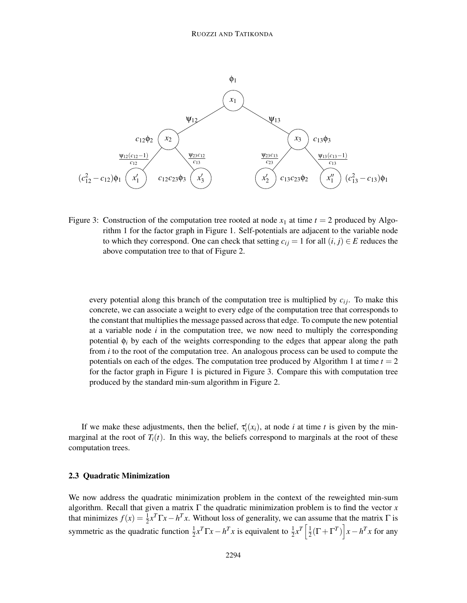

Figure 3: Construction of the computation tree rooted at node  $x_1$  at time  $t = 2$  produced by Algorithm 1 for the factor graph in Figure 1. Self-potentials are adjacent to the variable node to which they correspond. One can check that setting  $c_{ij} = 1$  for all  $(i, j) \in E$  reduces the above computation tree to that of Figure 2.

every potential along this branch of the computation tree is multiplied by  $c_{ij}$ . To make this concrete, we can associate a weight to every edge of the computation tree that corresponds to the constant that multiplies the message passed across that edge. To compute the new potential at a variable node *i* in the computation tree, we now need to multiply the corresponding potential  $\phi_i$  by each of the weights corresponding to the edges that appear along the path from *i* to the root of the computation tree. An analogous process can be used to compute the potentials on each of the edges. The computation tree produced by Algorithm 1 at time  $t = 2$ for the factor graph in Figure 1 is pictured in Figure 3. Compare this with computation tree produced by the standard min-sum algorithm in Figure 2.

If we make these adjustments, then the belief,  $\tau_i^t(x_i)$ , at node *i* at time *t* is given by the minmarginal at the root of  $T_i(t)$ . In this way, the beliefs correspond to marginals at the root of these computation trees.

#### 2.3 Quadratic Minimization

We now address the quadratic minimization problem in the context of the reweighted min-sum algorithm. Recall that given a matrix  $\Gamma$  the quadratic minimization problem is to find the vector *x* that minimizes  $f(x) = \frac{1}{2}x^T\Gamma x - h^T x$ . Without loss of generality, we can assume that the matrix  $\Gamma$  is symmetric as the quadratic function  $\frac{1}{2}x^T\Gamma x - h^T x$  is equivalent to  $\frac{1}{2}x^T\left[\frac{1}{2}\right]$  $\frac{1}{2}(\Gamma + \Gamma^T)\left[x - h^T x \text{ for any }$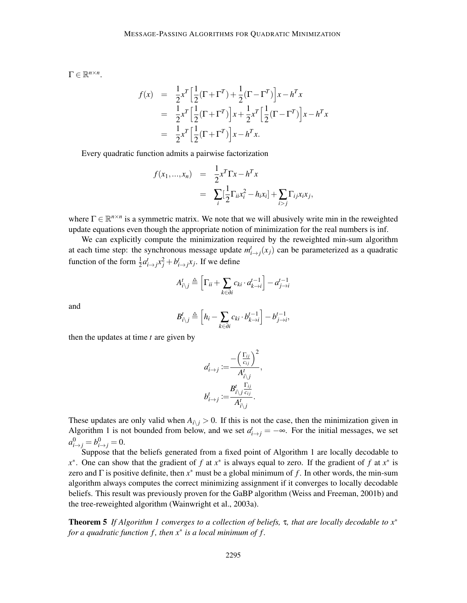$\Gamma \in \mathbb{R}^{n \times n}$ .

$$
f(x) = \frac{1}{2}x^T \left[ \frac{1}{2} (\Gamma + \Gamma^T) + \frac{1}{2} (\Gamma - \Gamma^T) \right] x - h^T x
$$
  
=  $\frac{1}{2} x^T \left[ \frac{1}{2} (\Gamma + \Gamma^T) \right] x + \frac{1}{2} x^T \left[ \frac{1}{2} (\Gamma - \Gamma^T) \right] x - h^T x$   
=  $\frac{1}{2} x^T \left[ \frac{1}{2} (\Gamma + \Gamma^T) \right] x - h^T x.$ 

Every quadratic function admits a pairwise factorization

$$
f(x_1,...,x_n) = \frac{1}{2}x^T \Gamma x - h^T x
$$
  
= 
$$
\sum_i [\frac{1}{2} \Gamma_{ii} x_i^2 - h_i x_i] + \sum_{i > j} \Gamma_{ij} x_i x_j,
$$

where  $\Gamma \in \mathbb{R}^{n \times n}$  is a symmetric matrix. We note that we will abusively write min in the reweighted update equations even though the appropriate notion of minimization for the real numbers is inf.

We can explicitly compute the minimization required by the reweighted min-sum algorithm at each time step: the synchronous message update  $m_{i \to j}^t(x_j)$  can be parameterized as a quadratic function of the form  $\frac{1}{2}a_{i\rightarrow j}^t x_j^2 + b_{i\rightarrow j}^t x_j$ . If we define

$$
A_{i \setminus j}^t \triangleq \left[ \Gamma_{ii} + \sum_{k \in \partial i} c_{ki} \cdot a_{k \to i}^{t-1} \right] - a_{j \to i}^{t-1}
$$

and

$$
B_{i\backslash j}^t \triangleq \left[h_i - \sum_{k \in \partial i} c_{ki} \cdot b_{k \to i}^{t-1}\right] - b_{j \to i}^{t-1},
$$

then the updates at time *t* are given by

$$
a_{i\to j}^t := \frac{-\left(\frac{\Gamma_{ij}}{c_{ij}}\right)^2}{A_{i\setminus j}^t},
$$
  

$$
b_{i\to j}^t := \frac{B_{i\setminus j}^t \frac{\Gamma_{ij}}{c_{ij}}}{A_{i\setminus j}^t}.
$$

These updates are only valid when  $A_{i,j} > 0$ . If this is not the case, then the minimization given in Algorithm 1 is not bounded from below, and we set  $a_{i\to j}^t = -\infty$ . For the initial messages, we set  $a_{i \to j}^0 = b_{i \to j}^0 = 0.$ 

Suppose that the beliefs generated from a fixed point of Algorithm 1 are locally decodable to *x*<sup>\*</sup>. One can show that the gradient of *f* at *x*<sup>\*</sup> is always equal to zero. If the gradient of *f* at *x*<sup>\*</sup> is zero and Γ is positive definite, then *x* ∗ must be a global minimum of *f* . In other words, the min-sum algorithm always computes the correct minimizing assignment if it converges to locally decodable beliefs. This result was previously proven for the GaBP algorithm (Weiss and Freeman, 2001b) and the tree-reweighted algorithm (Wainwright et al., 2003a).

Theorem 5 *If Algorithm 1 converges to a collection of beliefs,* τ*, that are locally decodable to x*∗ *for a quadratic function f , then x*∗ *is a local minimum of f .*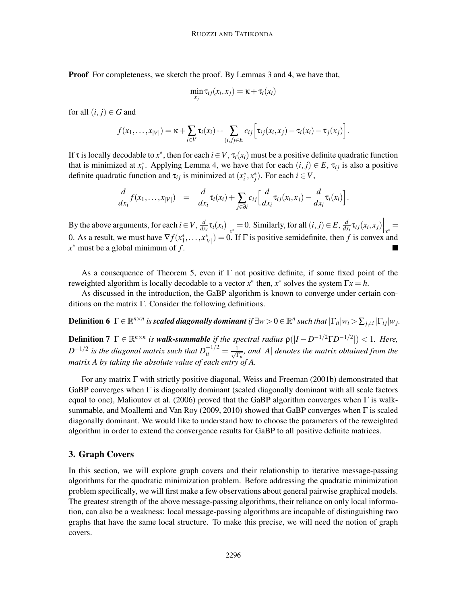Proof For completeness, we sketch the proof. By Lemmas 3 and 4, we have that,

$$
\min_{x_j} \tau_{ij}(x_i, x_j) = \kappa + \tau_i(x_i)
$$

for all  $(i, j) \in G$  and

$$
f(x_1,\ldots,x_{|V|})=\kappa+\sum_{i\in V}\tau_i(x_i)+\sum_{(i,j)\in E}c_{ij}\Big[\tau_{ij}(x_i,x_j)-\tau_i(x_i)-\tau_j(x_j)\Big].
$$

If  $\tau$  is locally decodable to  $x^*$ , then for each  $i \in V$ ,  $\tau_i(x_i)$  must be a positive definite quadratic function that is minimized at  $x_i^*$ . Applying Lemma 4, we have that for each  $(i, j) \in E$ ,  $\tau_{ij}$  is also a positive definite quadratic function and  $\tau_{ij}$  is minimized at  $(x_i^*, x_j^*)$ . For each  $i \in V$ ,

$$
\frac{d}{dx_i}f(x_1,\ldots,x_{|V|}) = \frac{d}{dx_i}\tau_i(x_i) + \sum_{j\in\partial i}c_{ij}\Big[\frac{d}{dx_i}\tau_{ij}(x_i,x_j) - \frac{d}{dx_i}\tau_i(x_i)\Big].
$$

By the above arguments, for each  $i \in V$ ,  $\frac{d}{dx}$  $\left. \frac{d}{dx_i} \tau_i(x_i) \right|_{x^*} = 0$ . Similarly, for all  $(i, j) \in E$ ,  $\frac{d}{dx_i}$  $\frac{d}{dx_i}\tau_{ij}(x_i,x_j)\Big|_{x^*} =$ 0. As a result, we must have  $\nabla f(x_1^*, \ldots, x_{|V|}^*) = 0$ . If  $\Gamma$  is positive semidefinite, then *f* is convex and *x* ∗ must be a global minimum of *f* .

As a consequence of Theorem 5, even if  $\Gamma$  not positive definite, if some fixed point of the reweighted algorithm is locally decodable to a vector  $x^*$  then,  $x^*$  solves the system  $\Gamma x = h$ .

As discussed in the introduction, the GaBP algorithm is known to converge under certain conditions on the matrix  $\Gamma$ . Consider the following definitions.

**Definition 6**  $\Gamma \in \mathbb{R}^{n \times n}$  is scaled diagonally dominant if  $\exists w > 0 \in \mathbb{R}^n$  such that  $|\Gamma_{ii}|w_i > \sum_{j \neq i} |\Gamma_{ij}|w_j$ .

**Definition 7**  $\Gamma \in \mathbb{R}^{n \times n}$  is **walk-summable** if the spectral radius  $\rho(|I - D^{-1/2}\Gamma D^{-1/2}|) < 1$ . Here,  $D^{-1/2}$  is the diagonal matrix such that  $D^{-1/2}_{ii} = \frac{1}{\sqrt{1}}$ Γ*ii , and* |*A*| *denotes the matrix obtained from the matrix A by taking the absolute value of each entry of A.*

For any matrix Γ with strictly positive diagonal, Weiss and Freeman (2001b) demonstrated that GaBP converges when  $\Gamma$  is diagonally dominant (scaled diagonally dominant with all scale factors equal to one), Malioutov et al. (2006) proved that the GaBP algorithm converges when  $\Gamma$  is walksummable, and Moallemi and Van Roy (2009, 2010) showed that GaBP converges when Γ is scaled diagonally dominant. We would like to understand how to choose the parameters of the reweighted algorithm in order to extend the convergence results for GaBP to all positive definite matrices.

### 3. Graph Covers

In this section, we will explore graph covers and their relationship to iterative message-passing algorithms for the quadratic minimization problem. Before addressing the quadratic minimization problem specifically, we will first make a few observations about general pairwise graphical models. The greatest strength of the above message-passing algorithms, their reliance on only local information, can also be a weakness: local message-passing algorithms are incapable of distinguishing two graphs that have the same local structure. To make this precise, we will need the notion of graph covers.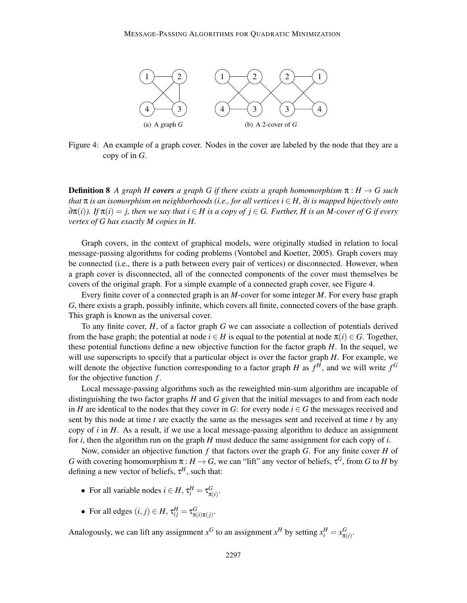

Figure 4: An example of a graph cover. Nodes in the cover are labeled by the node that they are a copy of in *G*.

**Definition 8** A graph H **covers** a graph G if there exists a graph homomorphism  $\pi : H \to G$  such *that* π *is an isomorphism on neighborhoods (i.e., for all vertices i* ∈ *H,* ∂*i is mapped bijectively onto*  $\partial \pi(i)$ *.* If  $\pi(i) = j$ , then we say that  $i \in H$  is a copy of  $j \in G$ . Further, H is an M-cover of G if every *vertex of G has exactly M copies in H.*

Graph covers, in the context of graphical models, were originally studied in relation to local message-passing algorithms for coding problems (Vontobel and Koetter, 2005). Graph covers may be connected (i.e., there is a path between every pair of vertices) or disconnected. However, when a graph cover is disconnected, all of the connected components of the cover must themselves be covers of the original graph. For a simple example of a connected graph cover, see Figure 4.

Every finite cover of a connected graph is an *M*-cover for some integer *M*. For every base graph *G*, there exists a graph, possibly infinite, which covers all finite, connected covers of the base graph. This graph is known as the universal cover.

To any finite cover, *H*, of a factor graph *G* we can associate a collection of potentials derived from the base graph; the potential at node  $i \in H$  is equal to the potential at node  $\pi(i) \in G$ . Together, these potential functions define a new objective function for the factor graph *H*. In the sequel, we will use superscripts to specify that a particular object is over the factor graph *H*. For example, we will denote the objective function corresponding to a factor graph *H* as  $f<sup>H</sup>$ , and we will write  $f<sup>G</sup>$ for the objective function *f* .

Local message-passing algorithms such as the reweighted min-sum algorithm are incapable of distinguishing the two factor graphs *H* and *G* given that the initial messages to and from each node in *H* are identical to the nodes that they cover in *G*: for every node  $i \in G$  the messages received and sent by this node at time *t* are exactly the same as the messages sent and received at time *t* by any copy of *i* in *H*. As a result, if we use a local message-passing algorithm to deduce an assignment for *i*, then the algorithm run on the graph *H* must deduce the same assignment for each copy of *i*.

Now, consider an objective function *f* that factors over the graph *G*. For any finite cover *H* of *G* with covering homomorphism  $\pi : H \to G$ , we can "lift" any vector of beliefs,  $\tau^G$ , from *G* to *H* by defining a new vector of beliefs, τ *<sup>H</sup>*, such that:

- For all variable nodes  $i \in H$ ,  $\tau_i^H = \tau_{\pi(i)}^G$ .
- For all edges  $(i, j) \in H$ ,  $\tau_{ij}^H = \tau_{\pi(i)\pi(j)}^G$ .

Analogously, we can lift any assignment  $x^G$  to an assignment  $x^H$  by setting  $x_i^H = x_{\pi(i)}^G$ .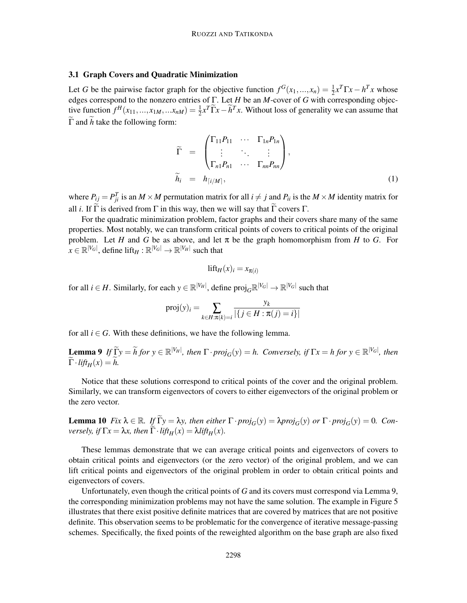### 3.1 Graph Covers and Quadratic Minimization

Let *G* be the pairwise factor graph for the objective function  $f^G(x_1,...,x_n) = \frac{1}{2}x^T\Gamma x - h^T x$  whose edges correspond to the nonzero entries of Γ. Let *H* be an *M*-cover of *G* with corresponding objective function  $f^H(x_{11},...,x_{1M},...x_{nM}) = \frac{1}{2}x^T\widetilde{\Gamma}x - \widetilde{h}^T x$ . Without loss of generality we can assume that  $\widetilde{\Gamma}$  and  $\widetilde{h}$  take the following form:

$$
\widetilde{\Gamma} = \begin{pmatrix} \Gamma_{11} P_{11} & \cdots & \Gamma_{1n} P_{1n} \\ \vdots & \ddots & \vdots \\ \Gamma_{n1} P_{n1} & \cdots & \Gamma_{nn} P_{nn} \end{pmatrix},
$$
\n
$$
\widetilde{h}_i = h_{[i/M]},
$$
\n(1)

where  $P_{ij} = P_{ji}^T$  is an  $M \times M$  permutation matrix for all  $i \neq j$  and  $P_{ii}$  is the  $M \times M$  identity matrix for all *i*. If  $\Gamma$  is derived from  $\Gamma$  in this way, then we will say that  $\Gamma$  covers  $\Gamma$ .

For the quadratic minimization problem, factor graphs and their covers share many of the same properties. Most notably, we can transform critical points of covers to critical points of the original problem. Let *H* and *G* be as above, and let  $\pi$  be the graph homomorphism from *H* to *G*. For  $x \in \mathbb{R}^{|V_G|}$ , define  $\text{lift}_H : \mathbb{R}^{|V_G|} \to \mathbb{R}^{|V_H|}$  such that

$$
\text{lift}_{H}(x)_{i} = x_{\pi(i)}
$$

for all  $i \in H$ . Similarly, for each  $y \in \mathbb{R}^{|V_H|}$ , define  $\text{proj}_G \mathbb{R}^{|V_G|} \to \mathbb{R}^{|V_G|}$  such that

$$
\text{proj}(y)_i = \sum_{k \in H: \pi(k)=i} \frac{y_k}{|\{j \in H: \pi(j)=i\}|}
$$

for all  $i \in G$ . With these definitions, we have the following lemma.

**Lemma 9** If  $\widetilde{L}y = \widetilde{h}$  for  $y \in \mathbb{R}^{|V_H|}$ , then  $\Gamma \cdot proj_G(y) = h$ . Conversely, if  $\Gamma x = h$  for  $y \in \mathbb{R}^{|V_G|}$ , then  $\widetilde{\Gamma} \cdot \text{lift}_H(x) = h.$ 

Notice that these solutions correspond to critical points of the cover and the original problem. Similarly, we can transform eigenvectors of covers to either eigenvectors of the original problem or the zero vector.

**Lemma 10** *Fix*  $\lambda \in \mathbb{R}$ *. If*  $\widetilde{\Gamma}y = \lambda y$ *, then either*  $\Gamma \cdot proj_G(y) = \lambda proj_G(y)$  *or*  $\Gamma \cdot proj_G(y) = 0$ *. Conversely, if*  $\Gamma x = \lambda x$ *, then*  $\Gamma \cdot \text{lift}_H(x) = \lambda \text{lift}_H(x)$ *.* 

These lemmas demonstrate that we can average critical points and eigenvectors of covers to obtain critical points and eigenvectors (or the zero vector) of the original problem, and we can lift critical points and eigenvectors of the original problem in order to obtain critical points and eigenvectors of covers.

Unfortunately, even though the critical points of *G* and its covers must correspond via Lemma 9, the corresponding minimization problems may not have the same solution. The example in Figure 5 illustrates that there exist positive definite matrices that are covered by matrices that are not positive definite. This observation seems to be problematic for the convergence of iterative message-passing schemes. Specifically, the fixed points of the reweighted algorithm on the base graph are also fixed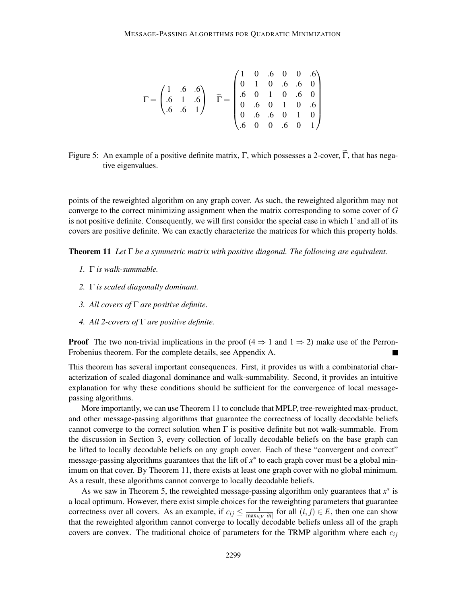$$
\Gamma = \begin{pmatrix} 1 & .6 & .6 \\ .6 & 1 & .6 \\ .6 & .6 & 1 \end{pmatrix} \quad \widetilde{\Gamma} = \begin{pmatrix} 1 & 0 & .6 & 0 & 0 & .6 \\ 0 & 1 & 0 & .6 & .6 & 0 \\ .6 & 0 & 1 & 0 & .6 & 0 \\ 0 & .6 & 0 & 1 & 0 & .6 \\ 0 & .6 & .6 & 0 & 1 & 0 \\ .6 & 0 & 0 & .6 & 0 & 1 \end{pmatrix}
$$

Figure 5: An example of a positive definite matrix, Γ, which possesses a 2-cover, Γ, that has negative eigenvalues.

points of the reweighted algorithm on any graph cover. As such, the reweighted algorithm may not converge to the correct minimizing assignment when the matrix corresponding to some cover of *G* is not positive definite. Consequently, we will first consider the special case in which  $\Gamma$  and all of its covers are positive definite. We can exactly characterize the matrices for which this property holds.

Theorem 11 *Let* Γ *be a symmetric matrix with positive diagonal. The following are equivalent.*

- *1.* Γ *is walk-summable.*
- *2.* Γ *is scaled diagonally dominant.*
- *3. All covers of* Γ *are positive definite.*
- *4. All 2-covers of* Γ *are positive definite.*

**Proof** The two non-trivial implications in the proof (4  $\Rightarrow$  1 and 1  $\Rightarrow$  2) make use of the Perron-Frobenius theorem. For the complete details, see Appendix A.

This theorem has several important consequences. First, it provides us with a combinatorial characterization of scaled diagonal dominance and walk-summability. Second, it provides an intuitive explanation for why these conditions should be sufficient for the convergence of local messagepassing algorithms.

More importantly, we can use Theorem 11 to conclude that MPLP, tree-reweighted max-product, and other message-passing algorithms that guarantee the correctness of locally decodable beliefs cannot converge to the correct solution when  $\Gamma$  is positive definite but not walk-summable. From the discussion in Section 3, every collection of locally decodable beliefs on the base graph can be lifted to locally decodable beliefs on any graph cover. Each of these "convergent and correct" message-passing algorithms guarantees that the lift of  $x^*$  to each graph cover must be a global minimum on that cover. By Theorem 11, there exists at least one graph cover with no global minimum. As a result, these algorithms cannot converge to locally decodable beliefs.

As we saw in Theorem 5, the reweighted message-passing algorithm only guarantees that  $x^*$  is a local optimum. However, there exist simple choices for the reweighting parameters that guarantee correctness over all covers. As an example, if  $c_{ij} \leq \frac{1}{\max_{i \in \mathbb{N}}}$  $\frac{1}{\max_{i\in V}|\partial i|}$  for all  $(i, j) \in E$ , then one can show that the reweighted algorithm cannot converge to locally decodable beliefs unless all of the graph covers are convex. The traditional choice of parameters for the TRMP algorithm where each  $c_{ij}$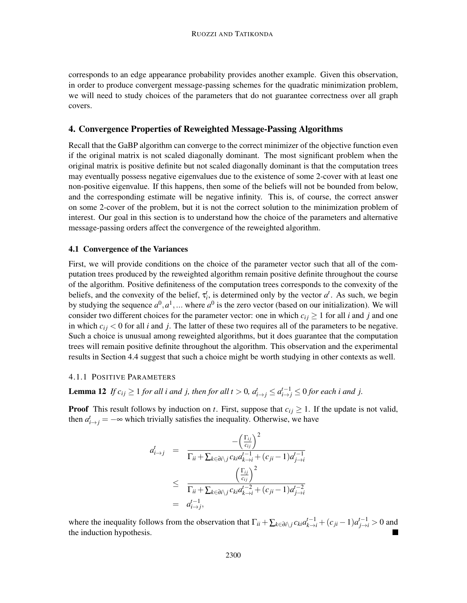corresponds to an edge appearance probability provides another example. Given this observation, in order to produce convergent message-passing schemes for the quadratic minimization problem, we will need to study choices of the parameters that do not guarantee correctness over all graph covers.

# 4. Convergence Properties of Reweighted Message-Passing Algorithms

Recall that the GaBP algorithm can converge to the correct minimizer of the objective function even if the original matrix is not scaled diagonally dominant. The most significant problem when the original matrix is positive definite but not scaled diagonally dominant is that the computation trees may eventually possess negative eigenvalues due to the existence of some 2-cover with at least one non-positive eigenvalue. If this happens, then some of the beliefs will not be bounded from below, and the corresponding estimate will be negative infinity. This is, of course, the correct answer on some 2-cover of the problem, but it is not the correct solution to the minimization problem of interest. Our goal in this section is to understand how the choice of the parameters and alternative message-passing orders affect the convergence of the reweighted algorithm.

#### 4.1 Convergence of the Variances

First, we will provide conditions on the choice of the parameter vector such that all of the computation trees produced by the reweighted algorithm remain positive definite throughout the course of the algorithm. Positive definiteness of the computation trees corresponds to the convexity of the beliefs, and the convexity of the belief,  $\tau_i^t$ , is determined only by the vector  $a^t$ . As such, we begin by studying the sequence  $a^0, a^1, \dots$  where  $a^0$  is the zero vector (based on our initialization). We will consider two different choices for the parameter vector: one in which  $c_{ij} \geq 1$  for all *i* and *j* and one in which  $c_{ij}$  < 0 for all *i* and *j*. The latter of these two requires all of the parameters to be negative. Such a choice is unusual among reweighted algorithms, but it does guarantee that the computation trees will remain positive definite throughout the algorithm. This observation and the experimental results in Section 4.4 suggest that such a choice might be worth studying in other contexts as well.

### 4.1.1 POSITIVE PARAMETERS

**Lemma 12** *If*  $c_{ij} \ge 1$  *for all i and j, then for all t* > 0*,*  $a_{i \to j}^t \le a_{i \to j}^{t-1} \le 0$  *for each i and j.* 

**Proof** This result follows by induction on *t*. First, suppose that  $c_{ij} \geq 1$ . If the update is not valid, then  $a_{i \to j}^t = -\infty$  which trivially satisfies the inequality. Otherwise, we have

$$
a_{i \to j}^t = \frac{-\left(\frac{\Gamma_{ij}}{c_{ij}}\right)^2}{\Gamma_{ii} + \sum_{k \in \partial i \setminus j} c_{ki} a_{k \to i}^{t-1} + (c_{ji} - 1) a_{j \to i}^{t-1}}
$$
  

$$
\leq \frac{\left(\frac{\Gamma_{ij}}{c_{ij}}\right)^2}{\Gamma_{ii} + \sum_{k \in \partial i \setminus j} c_{ki} a_{k \to i}^{t-2} + (c_{ji} - 1) a_{j \to i}^{t-2}}
$$
  

$$
= a_{i \to j}^{t-1},
$$

where the inequality follows from the observation that  $\Gamma_{ii} + \sum_{k \in \partial i \setminus j} c_{ki} a_{k \to i}^{t-1} + (c_{ji} - 1) a_{j \to i}^{t-1} > 0$  and the induction hypothesis.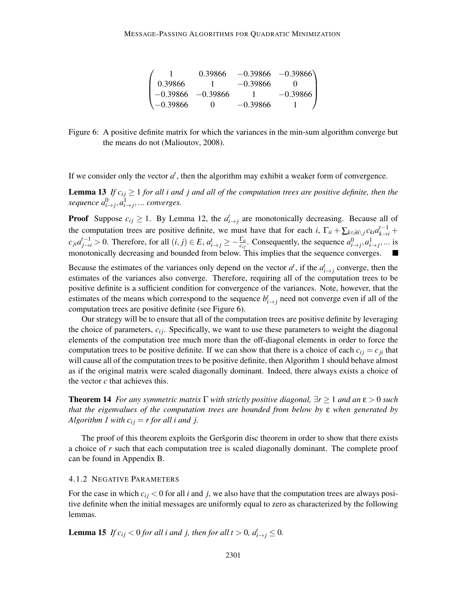|                      | 0.39866               |            | $-0.39866$ $-0.39866$ |
|----------------------|-----------------------|------------|-----------------------|
| 0.39866              |                       | $-0.39866$ |                       |
|                      | $-0.39866$ $-0.39866$ |            | $-0.39866$            |
| $\setminus -0.39866$ | 0                     | $-0.39866$ |                       |

Figure 6: A positive definite matrix for which the variances in the min-sum algorithm converge but the means do not (Malioutov, 2008).

If we consider only the vector  $a^t$ , then the algorithm may exhibit a weaker form of convergence.

**Lemma 13** *If*  $c_{ij} \geq 1$  *for all i and j and all of the computation trees are positive definite, then the*  $sequence \ a^0_{i\rightarrow j}, a^1_{i\rightarrow j}, ... \ converges.$ 

**Proof** Suppose  $c_{ij} \geq 1$ . By Lemma 12, the  $a_{i \to j}^t$  are monotonically decreasing. Because all of the computation trees are positive definite, we must have that for each *i*,  $\Gamma_{ii} + \sum_{k \in \partial i \setminus j} c_{ki} a_{k \to i}^{t-1} +$  $c_{ji}a_{j\to i}^{t-1} > 0$ . Therefore, for all  $(i, j) \in E$ ,  $a_{i \to j}^t \ge -\frac{\Gamma_{ii}}{c_{ij}}$ . Consequently, the sequence  $a_{i \to j}^0, a_{i \to j}^1, \dots$  is monotonically decreasing and bounded from below. This implies that the sequence converges.

Because the estimates of the variances only depend on the vector  $a^t$ , if the  $a^t_{i\to j}$  converge, then the estimates of the variances also converge. Therefore, requiring all of the computation trees to be positive definite is a sufficient condition for convergence of the variances. Note, however, that the estimates of the means which correspond to the sequence  $b^t_{i \to j}$  need not converge even if all of the computation trees are positive definite (see Figure 6).

Our strategy will be to ensure that all of the computation trees are positive definite by leveraging the choice of parameters,  $c_i$ . Specifically, we want to use these parameters to weight the diagonal elements of the computation tree much more than the off-diagonal elements in order to force the computation trees to be positive definite. If we can show that there is a choice of each  $c_{ij} = c_{ji}$  that will cause all of the computation trees to be positive definite, then Algorithm 1 should behave almost as if the original matrix were scaled diagonally dominant. Indeed, there always exists a choice of the vector *c* that achieves this.

Theorem 14 *For any symmetric matrix* Γ *with strictly positive diagonal,* ∃*r* ≥ 1 *and an* ε > 0 *such that the eigenvalues of the computation trees are bounded from below by* ε *when generated by Algorithm 1 with*  $c_{ij} = r$  for all *i* and *j*.

The proof of this theorem exploits the Gersgorin disc theorem in order to show that there exists a choice of *r* such that each computation tree is scaled diagonally dominant. The complete proof can be found in Appendix B.

#### 4.1.2 NEGATIVE PARAMETERS

For the case in which  $c_{ij}$  < 0 for all *i* and *j*, we also have that the computation trees are always positive definite when the initial messages are uniformly equal to zero as characterized by the following lemmas.

**Lemma 15** *If*  $c_{ij} < 0$  for all i and j, then for all  $t > 0$ ,  $a_{i \to j}^t \leq 0$ .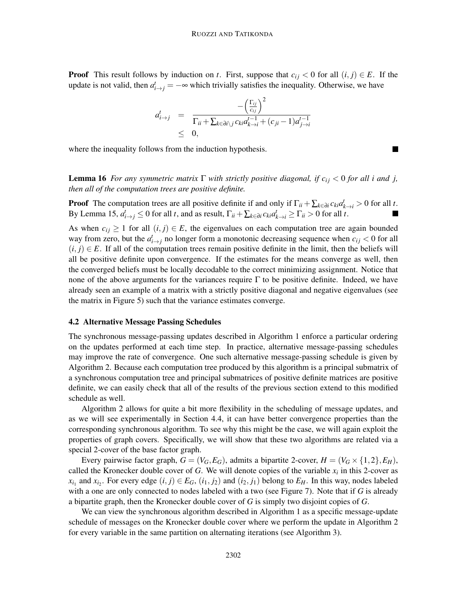**Proof** This result follows by induction on *t*. First, suppose that  $c_{ij} < 0$  for all  $(i, j) \in E$ . If the update is not valid, then  $a_{i \to j}^t = -\infty$  which trivially satisfies the inequality. Otherwise, we have

$$
a_{i\to j}^t = \frac{-\left(\frac{\Gamma_{ij}}{c_{ij}}\right)^2}{\Gamma_{ii} + \sum_{k \in \partial i \setminus j} c_{ki} a_{k\to i}^{t-1} + (c_{ji} - 1) a_{j\to i}^{t-1}}
$$
  
 
$$
\leq 0,
$$

where the inequality follows from the induction hypothesis.

**Lemma 16** *For any symmetric matrix*  $\Gamma$  *with strictly positive diagonal, if c<sub>ij</sub> < 0 for all i and j, then all of the computation trees are positive definite.*

**Proof** The computation trees are all positive definite if and only if  $\Gamma_{ii} + \sum_{k \in \partial i} c_{ki} a_{k \to i}^t > 0$  for all *t*. By Lemma 15,  $a_{i\to j}^t \le 0$  for all *t*, and as result,  $\Gamma_{ii} + \sum_{k \in \partial i} c_{ki} a_{k\to i}^t \ge \Gamma_{ii} > 0$  for all *t*.

As when  $c_{ij} \geq 1$  for all  $(i, j) \in E$ , the eigenvalues on each computation tree are again bounded way from zero, but the  $a_{i\to j}^t$  no longer form a monotonic decreasing sequence when  $c_{ij} < 0$  for all  $(i, j) \in E$ . If all of the computation trees remain positive definite in the limit, then the beliefs will all be positive definite upon convergence. If the estimates for the means converge as well, then the converged beliefs must be locally decodable to the correct minimizing assignment. Notice that none of the above arguments for the variances require  $\Gamma$  to be positive definite. Indeed, we have already seen an example of a matrix with a strictly positive diagonal and negative eigenvalues (see the matrix in Figure 5) such that the variance estimates converge.

### 4.2 Alternative Message Passing Schedules

The synchronous message-passing updates described in Algorithm 1 enforce a particular ordering on the updates performed at each time step. In practice, alternative message-passing schedules may improve the rate of convergence. One such alternative message-passing schedule is given by Algorithm 2. Because each computation tree produced by this algorithm is a principal submatrix of a synchronous computation tree and principal submatrices of positive definite matrices are positive definite, we can easily check that all of the results of the previous section extend to this modified schedule as well.

Algorithm 2 allows for quite a bit more flexibility in the scheduling of message updates, and as we will see experimentally in Section 4.4, it can have better convergence properties than the corresponding synchronous algorithm. To see why this might be the case, we will again exploit the properties of graph covers. Specifically, we will show that these two algorithms are related via a special 2-cover of the base factor graph.

Every pairwise factor graph,  $G = (V_G, E_G)$ , admits a bipartite 2-cover,  $H = (V_G \times \{1, 2\}, E_H)$ , called the Kronecker double cover of *G*. We will denote copies of the variable  $x_i$  in this 2-cover as  $x_{i_1}$  and  $x_{i_2}$ . For every edge  $(i, j) \in E_G$ ,  $(i_1, j_2)$  and  $(i_2, j_1)$  belong to  $E_H$ . In this way, nodes labeled with a one are only connected to nodes labeled with a two (see Figure 7). Note that if *G* is already a bipartite graph, then the Kronecker double cover of *G* is simply two disjoint copies of *G*.

We can view the synchronous algorithm described in Algorithm 1 as a specific message-update schedule of messages on the Kronecker double cover where we perform the update in Algorithm 2 for every variable in the same partition on alternating iterations (see Algorithm 3).

×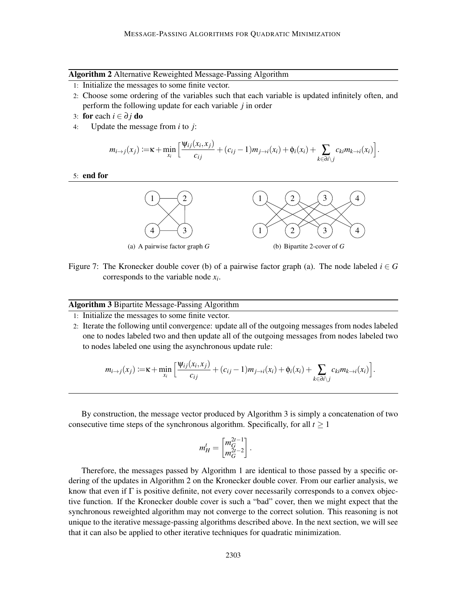#### Algorithm 2 Alternative Reweighted Message-Passing Algorithm

- 1: Initialize the messages to some finite vector.
- 2: Choose some ordering of the variables such that each variable is updated infinitely often, and perform the following update for each variable *j* in order
- 3: **for** each  $i \in \partial j$  **do**<br>4: Update the mess
- Update the message from  $i$  to  $j$ :

$$
m_{i\to j}(x_j) := \kappa + \min_{x_i} \left[ \frac{\Psi_{ij}(x_i, x_j)}{c_{ij}} + (c_{ij} - 1)m_{j\to i}(x_i) + \phi_i(x_i) + \sum_{k \in \partial i \setminus j} c_{ki} m_{k\to i}(x_i) \right].
$$

### 5: end for



Figure 7: The Kronecker double cover (b) of a pairwise factor graph (a). The node labeled  $i \in G$ corresponds to the variable node *x<sup>i</sup>* .

#### Algorithm 3 Bipartite Message-Passing Algorithm

1: Initialize the messages to some finite vector.

2: Iterate the following until convergence: update all of the outgoing messages from nodes labeled one to nodes labeled two and then update all of the outgoing messages from nodes labeled two to nodes labeled one using the asynchronous update rule:

$$
m_{i\to j}(x_j) := \kappa + \min_{x_i} \left[ \frac{\Psi_{ij}(x_i, x_j)}{c_{ij}} + (c_{ij} - 1)m_{j\to i}(x_i) + \phi_i(x_i) + \sum_{k \in \partial i \setminus j} c_{ki} m_{k\to i}(x_i) \right].
$$

By construction, the message vector produced by Algorithm 3 is simply a concatenation of two consecutive time steps of the synchronous algorithm. Specifically, for all  $t \ge 1$ 

$$
m_H^t = \begin{bmatrix} m_G^{2t-1} \\ m_G^{2t-2} \end{bmatrix}.
$$

Therefore, the messages passed by Algorithm 1 are identical to those passed by a specific ordering of the updates in Algorithm 2 on the Kronecker double cover. From our earlier analysis, we know that even if  $\Gamma$  is positive definite, not every cover necessarily corresponds to a convex objective function. If the Kronecker double cover is such a "bad" cover, then we might expect that the synchronous reweighted algorithm may not converge to the correct solution. This reasoning is not unique to the iterative message-passing algorithms described above. In the next section, we will see that it can also be applied to other iterative techniques for quadratic minimization.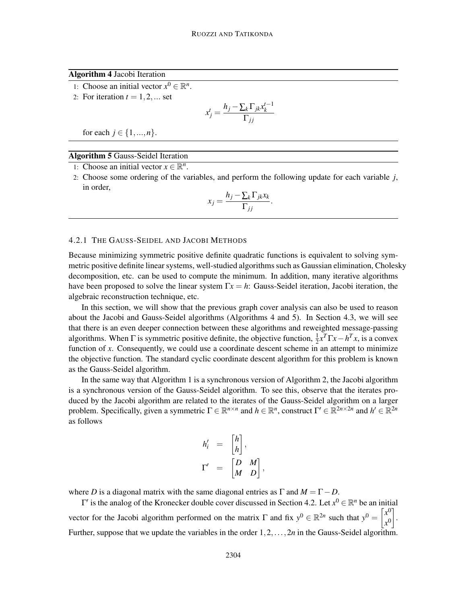Algorithm 4 Jacobi Iteration

- 1: Choose an initial vector  $x^0 \in \mathbb{R}^n$ .
- 2: For iteration  $t = 1, 2, \dots$  set

$$
x_j^t = \frac{h_j - \sum_k \Gamma_{jk} x_k^{t-1}}{\Gamma_{jj}}
$$

for each  $j \in \{1, ..., n\}$ .

Algorithm 5 Gauss-Seidel Iteration

1: Choose an initial vector  $x \in \mathbb{R}^n$ .

2: Choose some ordering of the variables, and perform the following update for each variable *j*, in order,

$$
x_j = \frac{h_j - \sum_k \Gamma_{jk} x_k}{\Gamma_{jj}}.
$$

#### 4.2.1 THE GAUSS-SEIDEL AND JACOBI METHODS

Because minimizing symmetric positive definite quadratic functions is equivalent to solving symmetric positive definite linear systems, well-studied algorithms such as Gaussian elimination, Cholesky decomposition, etc. can be used to compute the minimum. In addition, many iterative algorithms have been proposed to solve the linear system Γ*x* = *h*: Gauss-Seidel iteration, Jacobi iteration, the algebraic reconstruction technique, etc.

In this section, we will show that the previous graph cover analysis can also be used to reason about the Jacobi and Gauss-Seidel algorithms (Algorithms 4 and 5). In Section 4.3, we will see that there is an even deeper connection between these algorithms and reweighted message-passing algorithms. When  $\Gamma$  is symmetric positive definite, the objective function,  $\frac{1}{2}x^T\Gamma x - h^T x$ , is a convex function of x. Consequently, we could use a coordinate descent scheme in an attempt to minimize the objective function. The standard cyclic coordinate descent algorithm for this problem is known as the Gauss-Seidel algorithm.

In the same way that Algorithm 1 is a synchronous version of Algorithm 2, the Jacobi algorithm is a synchronous version of the Gauss-Seidel algorithm. To see this, observe that the iterates produced by the Jacobi algorithm are related to the iterates of the Gauss-Seidel algorithm on a larger problem. Specifically, given a symmetric  $\Gamma \in \mathbb{R}^{n \times n}$  and  $h \in \mathbb{R}^n$ , construct  $\Gamma' \in \mathbb{R}^{2n \times 2n}$  and  $h' \in \mathbb{R}^{2n}$ as follows

$$
h'_{i} = \begin{bmatrix} h \\ h \end{bmatrix},
$$
  

$$
\Gamma' = \begin{bmatrix} D & M \\ M & D \end{bmatrix}
$$

,

where *D* is a diagonal matrix with the same diagonal entries as  $\Gamma$  and  $M = \Gamma - D$ .

 $Γ'$  is the analog of the Kronecker double cover discussed in Section 4.2. Let  $x^0 ∈ ℝ^n$  be an initial vector for the Jacobi algorithm performed on the matrix  $\Gamma$  and fix  $y^0 \in \mathbb{R}^{2n}$  such that  $y^0 =$  $\overline{a}$ *x*  $\boldsymbol{0}$ *x*  $\boldsymbol{0}$ 1 . Further, suppose that we update the variables in the order 1,2,...,2*n* in the Gauss-Seidel algorithm.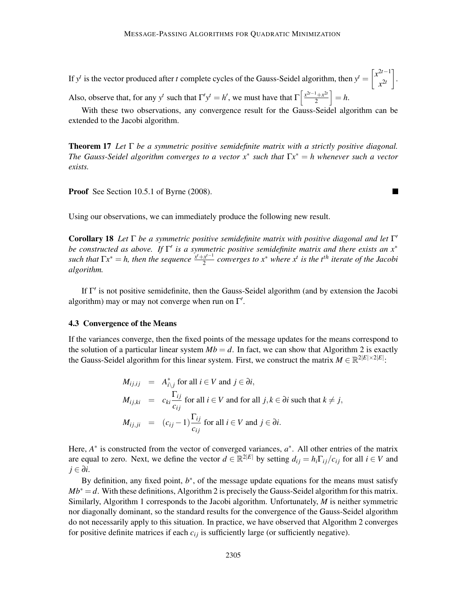If *y*<sup>*t*</sup> is the vector produced after *t* complete cycles of the Gauss-Seidel algorithm, then  $y^t = \begin{bmatrix} x^{2t-1} \\ y^{2t} \end{bmatrix}$  $x^{2t}$ 1 . Also, observe that, for any  $y^t$  such that  $\Gamma' y^t = h'$ , we must have that  $\Gamma \left[ \frac{x^{2t-1} + x^{2t}}{2} \right]$  $\big] = h.$ 

With these two observations, any convergence result for the Gauss-Seidel algorithm can be extended to the Jacobi algorithm.

2

 $\blacksquare$ 

Theorem 17 *Let* Γ *be a symmetric positive semidefinite matrix with a strictly positive diagonal. The Gauss-Seidel algorithm converges to a vector x*∗ *such that* Γ*x* ∗ = *h whenever such a vector exists.*

Proof See Section 10.5.1 of Byrne (2008).

Using our observations, we can immediately produce the following new result.

Corollary 18 *Let* Γ *be a symmetric positive semidefinite matrix with positive diagonal and let* Γ ′ *be constructed as above. If* Γ ′ *is a symmetric positive semidefinite matrix and there exists an x*∗ *such that*  $\Gamma x^* = h$ , then the sequence  $\frac{x^t + x^{t-1}}{2}$ 2 *converges to x*<sup>∗</sup> *where x<sup>t</sup> is the tth iterate of the Jacobi algorithm.*

If Γ ′ is not positive semidefinite, then the Gauss-Seidel algorithm (and by extension the Jacobi algorithm) may or may not converge when run on  $\Gamma'$ .

#### 4.3 Convergence of the Means

If the variances converge, then the fixed points of the message updates for the means correspond to the solution of a particular linear system  $Mb = d$ . In fact, we can show that Algorithm 2 is exactly the Gauss-Seidel algorithm for this linear system. First, we construct the matrix  $M \in \mathbb{R}^{2|E|\times 2|E|}$ :

$$
M_{ij,ij} = A_{i\backslash j}^* \text{ for all } i \in V \text{ and } j \in \partial i,
$$
  
\n
$$
M_{ij,ki} = c_{ki} \frac{\Gamma_{ij}}{c_{ij}} \text{ for all } i \in V \text{ and for all } j, k \in \partial i \text{ such that } k \neq j,
$$
  
\n
$$
M_{ij,ji} = (c_{ij} - 1) \frac{\Gamma_{ij}}{c_{ij}} \text{ for all } i \in V \text{ and } j \in \partial i.
$$

Here,  $A^*$  is constructed from the vector of converged variances,  $a^*$ . All other entries of the matrix are equal to zero. Next, we define the vector  $d \in \mathbb{R}^{2|E|}$  by setting  $d_{ij} = h_i \Gamma_{ij}/c_{ij}$  for all  $i \in V$  and *j* ∈ ∂*i*.

By definition, any fixed point,  $b^*$ , of the message update equations for the means must satisfy  $Mb<sup>*</sup> = d$ . With these definitions, Algorithm 2 is precisely the Gauss-Seidel algorithm for this matrix. Similarly, Algorithm 1 corresponds to the Jacobi algorithm. Unfortunately, *M* is neither symmetric nor diagonally dominant, so the standard results for the convergence of the Gauss-Seidel algorithm do not necessarily apply to this situation. In practice, we have observed that Algorithm 2 converges for positive definite matrices if each  $c_{ij}$  is sufficiently large (or sufficiently negative).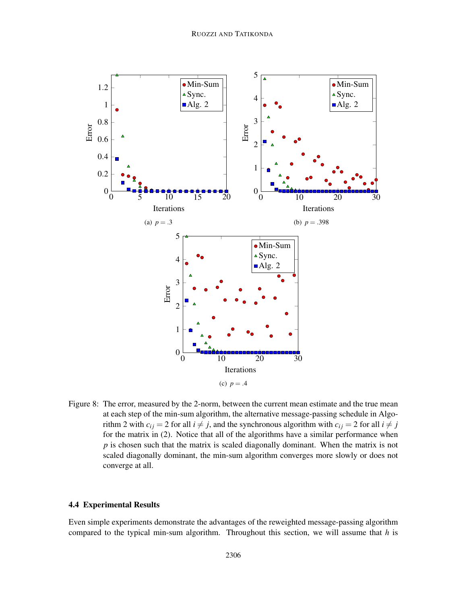

Figure 8: The error, measured by the 2-norm, between the current mean estimate and the true mean at each step of the min-sum algorithm, the alternative message-passing schedule in Algorithm 2 with  $c_{ij} = 2$  for all  $i \neq j$ , and the synchronous algorithm with  $c_{ij} = 2$  for all  $i \neq j$ for the matrix in (2). Notice that all of the algorithms have a similar performance when *p* is chosen such that the matrix is scaled diagonally dominant. When the matrix is not scaled diagonally dominant, the min-sum algorithm converges more slowly or does not converge at all.

# 4.4 Experimental Results

Even simple experiments demonstrate the advantages of the reweighted message-passing algorithm compared to the typical min-sum algorithm. Throughout this section, we will assume that *h* is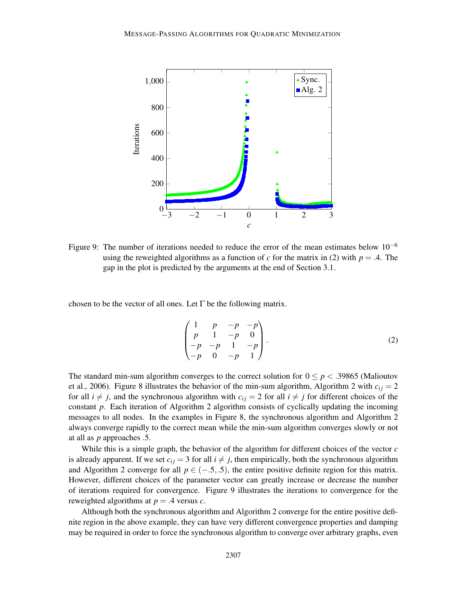

Figure 9: The number of iterations needed to reduce the error of the mean estimates below  $10^{-6}$ using the reweighted algorithms as a function of *c* for the matrix in (2) with  $p = .4$ . The gap in the plot is predicted by the arguments at the end of Section 3.1.

chosen to be the vector of all ones. Let  $\Gamma$  be the following matrix.

$$
\begin{pmatrix} 1 & p & -p & -p \ p & 1 & -p & 0 \ -p & -p & 1 & -p \ -p & 0 & -p & 1 \end{pmatrix}.
$$
 (2)

The standard min-sum algorithm converges to the correct solution for  $0 \le p < .39865$  (Malioutov et al., 2006). Figure 8 illustrates the behavior of the min-sum algorithm, Algorithm 2 with  $c_{ij} = 2$ for all  $i \neq j$ , and the synchronous algorithm with  $c_{ij} = 2$  for all  $i \neq j$  for different choices of the constant *p*. Each iteration of Algorithm 2 algorithm consists of cyclically updating the incoming messages to all nodes. In the examples in Figure 8, the synchronous algorithm and Algorithm 2 always converge rapidly to the correct mean while the min-sum algorithm converges slowly or not at all as *p* approaches .5.

While this is a simple graph, the behavior of the algorithm for different choices of the vector *c* is already apparent. If we set  $c_{ij} = 3$  for all  $i \neq j$ , then empirically, both the synchronous algorithm and Algorithm 2 converge for all  $p \in (-.5, .5)$ , the entire positive definite region for this matrix. However, different choices of the parameter vector can greatly increase or decrease the number of iterations required for convergence. Figure 9 illustrates the iterations to convergence for the reweighted algorithms at *p* = .4 versus *c*.

Although both the synchronous algorithm and Algorithm 2 converge for the entire positive definite region in the above example, they can have very different convergence properties and damping may be required in order to force the synchronous algorithm to converge over arbitrary graphs, even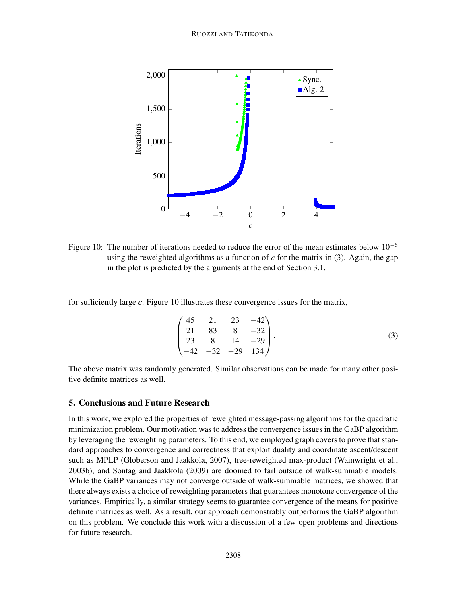

Figure 10: The number of iterations needed to reduce the error of the mean estimates below  $10^{-6}$ using the reweighted algorithms as a function of  $c$  for the matrix in (3). Again, the gap in the plot is predicted by the arguments at the end of Section 3.1.

for sufficiently large *c*. Figure 10 illustrates these convergence issues for the matrix,

$$
\begin{pmatrix} 45 & 21 & 23 & -42 \ 21 & 83 & 8 & -32 \ 23 & 8 & 14 & -29 \ -42 & -32 & -29 & 134 \end{pmatrix}.
$$
 (3)

The above matrix was randomly generated. Similar observations can be made for many other positive definite matrices as well.

# 5. Conclusions and Future Research

In this work, we explored the properties of reweighted message-passing algorithms for the quadratic minimization problem. Our motivation was to address the convergence issues in the GaBP algorithm by leveraging the reweighting parameters. To this end, we employed graph covers to prove that standard approaches to convergence and correctness that exploit duality and coordinate ascent/descent such as MPLP (Globerson and Jaakkola, 2007), tree-reweighted max-product (Wainwright et al., 2003b), and Sontag and Jaakkola (2009) are doomed to fail outside of walk-summable models. While the GaBP variances may not converge outside of walk-summable matrices, we showed that there always exists a choice of reweighting parameters that guarantees monotone convergence of the variances. Empirically, a similar strategy seems to guarantee convergence of the means for positive definite matrices as well. As a result, our approach demonstrably outperforms the GaBP algorithm on this problem. We conclude this work with a discussion of a few open problems and directions for future research.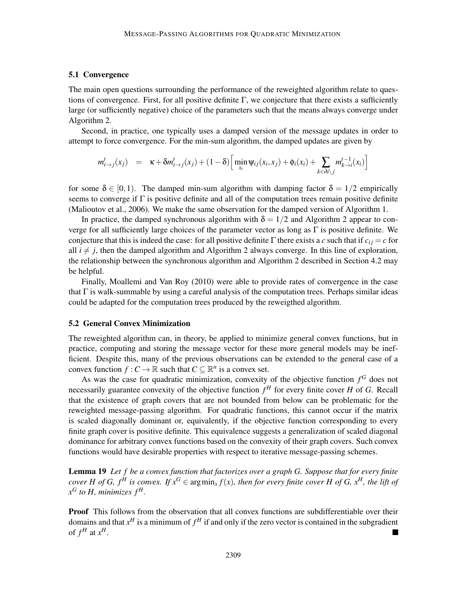### 5.1 Convergence

The main open questions surrounding the performance of the reweighted algorithm relate to questions of convergence. First, for all positive definite  $\Gamma$ , we conjecture that there exists a sufficiently large (or sufficiently negative) choice of the parameters such that the means always converge under Algorithm 2.

Second, in practice, one typically uses a damped version of the message updates in order to attempt to force convergence. For the min-sum algorithm, the damped updates are given by

$$
m_{i\to j}^t(x_j) = \kappa + \delta m_{i\to j}^t(x_j) + (1-\delta) \Big[ \min_{x_i} \psi_{ij}(x_i, x_j) + \phi_i(x_i) + \sum_{k \in \partial i \setminus j} m_{k\to i}^{t-1}(x_i) \Big]
$$

for some  $\delta \in [0,1)$ . The damped min-sum algorithm with damping factor  $\delta = 1/2$  empirically seems to converge if  $\Gamma$  is positive definite and all of the computation trees remain positive definite (Malioutov et al., 2006). We make the same observation for the damped version of Algorithm 1.

In practice, the damped synchronous algorithm with  $\delta = 1/2$  and Algorithm 2 appear to converge for all sufficiently large choices of the parameter vector as long as  $\Gamma$  is positive definite. We conjecture that this is indeed the case: for all positive definite Γ there exists a *c* such that if  $c_{ij} = c$  for all  $i \neq j$ , then the damped algorithm and Algorithm 2 always converge. In this line of exploration, the relationship between the synchronous algorithm and Algorithm 2 described in Section 4.2 may be helpful.

Finally, Moallemi and Van Roy (2010) were able to provide rates of convergence in the case that  $\Gamma$  is walk-summable by using a careful analysis of the computation trees. Perhaps similar ideas could be adapted for the computation trees produced by the reweigthed algorithm.

#### 5.2 General Convex Minimization

The reweighted algorithm can, in theory, be applied to minimize general convex functions, but in practice, computing and storing the message vector for these more general models may be inefficient. Despite this, many of the previous observations can be extended to the general case of a convex function  $f: C \to \mathbb{R}$  such that  $C \subseteq \mathbb{R}^n$  is a convex set.

As was the case for quadratic minimization, convexity of the objective function  $f<sup>G</sup>$  does not necessarily guarantee convexity of the objective function *f <sup>H</sup>* for every finite cover *H* of *G*. Recall that the existence of graph covers that are not bounded from below can be problematic for the reweighted message-passing algorithm. For quadratic functions, this cannot occur if the matrix is scaled diagonally dominant or, equivalently, if the objective function corresponding to every finite graph cover is positive definite. This equivalence suggests a generalization of scaled diagonal dominance for arbitrary convex functions based on the convexity of their graph covers. Such convex functions would have desirable properties with respect to iterative message-passing schemes.

Lemma 19 *Let f be a convex function that factorizes over a graph G. Suppose that for every finite cover H of G, f<sup>H</sup> is convex. If*  $x^G \in \arg\min_x f(x)$ *, then for every finite cover H of G,*  $x^H$ *, the lift of*  $x^G$  *to H, minimizes*  $f^H$ .

Proof This follows from the observation that all convex functions are subdifferentiable over their domains and that  $x^H$  is a minimum of  $f^H$  if and only if the zero vector is contained in the subgradient of  $f^H$  at  $x^H$ .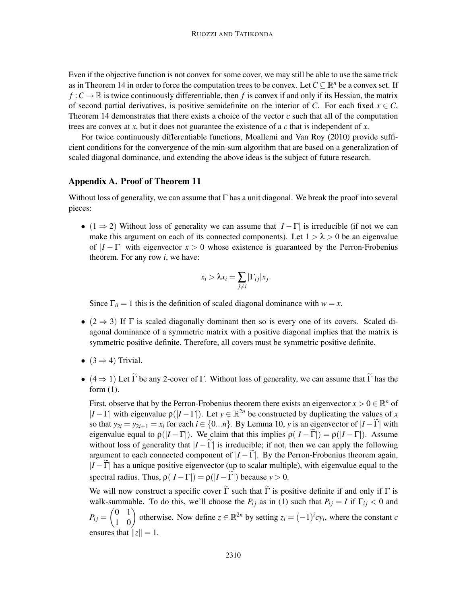Even if the objective function is not convex for some cover, we may still be able to use the same trick as in Theorem 14 in order to force the computation trees to be convex. Let  $C \subseteq \mathbb{R}^n$  be a convex set. If  $f: C \to \mathbb{R}$  is twice continuously differentiable, then *f* is convex if and only if its Hessian, the matrix of second partial derivatives, is positive semidefinite on the interior of *C*. For each fixed  $x \in C$ , Theorem 14 demonstrates that there exists a choice of the vector *c* such that all of the computation trees are convex at *x*, but it does not guarantee the existence of a *c* that is independent of *x*.

For twice continuously differentiable functions, Moallemi and Van Roy (2010) provide sufficient conditions for the convergence of the min-sum algorithm that are based on a generalization of scaled diagonal dominance, and extending the above ideas is the subject of future research.

### Appendix A. Proof of Theorem 11

Without loss of generality, we can assume that Γ has a unit diagonal. We break the proof into several pieces:

•  $(1 \Rightarrow 2)$  Without loss of generality we can assume that  $|I-\Gamma|$  is irreducible (if not we can make this argument on each of its connected components). Let  $1 > \lambda > 0$  be an eigenvalue of  $|I - \Gamma|$  with eigenvector  $x > 0$  whose existence is guaranteed by the Perron-Frobenius theorem. For any row *i*, we have:

$$
x_i > \lambda x_i = \sum_{j \neq i} |\Gamma_{ij}| x_j.
$$

Since  $\Gamma_{ii} = 1$  this is the definition of scaled diagonal dominance with  $w = x$ .

- (2  $\Rightarrow$  3) If  $\Gamma$  is scaled diagonally dominant then so is every one of its covers. Scaled diagonal dominance of a symmetric matrix with a positive diagonal implies that the matrix is symmetric positive definite. Therefore, all covers must be symmetric positive definite.
- $(3 \Rightarrow 4)$  Trivial.
- $(4 \Rightarrow 1)$  Let  $\tilde{\Gamma}$  be any 2-cover of Γ. Without loss of generality, we can assume that  $\tilde{\Gamma}$  has the form (1).

First, observe that by the Perron-Frobenius theorem there exists an eigenvector  $x > 0 \in \mathbb{R}^n$  of  $|I - \Gamma|$  with eigenvalue  $\rho(|I - \Gamma|)$ . Let  $y \in \mathbb{R}^{2n}$  be constructed by duplicating the values of *x* so that  $y_{2i} = y_{2i+1} = x_i$  for each  $i \in \{0...n\}$ . By Lemma 10, *y* is an eigenvector of  $|I - \tilde{\Gamma}|$  with eigenvalue equal to  $\rho(|I - \Gamma|)$ . We claim that this implies  $\rho(|I - \Gamma|) = \rho(|I - \Gamma|)$ . Assume without loss of generality that  $|I - \tilde{\Gamma}|$  is irreducible; if not, then we can apply the following argument to each connected component of  $|I - \Gamma|$ . By the Perron-Frobenius theorem again,  $|I - \Gamma|$  has a unique positive eigenvector (up to scalar multiple), with eigenvalue equal to the spectral radius. Thus,  $\rho(|I - \Gamma|) = \rho(|I - \Gamma|)$  because  $y > 0$ .

We will now construct a specific cover  $\tilde{\Gamma}$  such that  $\tilde{\Gamma}$  is positive definite if and only if  $\Gamma$  is walk-summable. To do this, we'll choose the  $P_{ij}$  as in (1) such that  $P_{ij} = I$  if  $\Gamma_{ij} < 0$  and  $P_{ij} =$  $\begin{pmatrix} 0 & 1 \\ 1 & 0 \end{pmatrix}$  otherwise. Now define  $z \in \mathbb{R}^{2n}$  by setting  $z_i = (-1)^i cy_i$ , where the constant *c* ensures that  $||z|| = 1$ .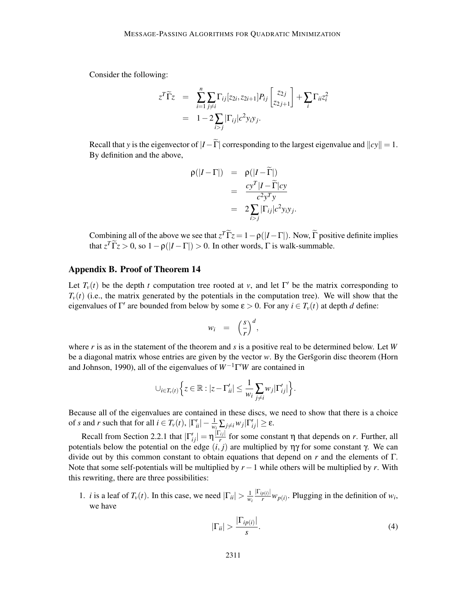Consider the following:

$$
z^T \widetilde{\Gamma} z = \sum_{i=1}^n \sum_{j \neq i} \Gamma_{ij} [z_{2i}, z_{2i+1}] P_{ij} \begin{bmatrix} z_{2j} \\ z_{2j+1} \end{bmatrix} + \sum_i \Gamma_{ii} z_i^2
$$
  
=  $1 - 2 \sum_{i > j} |\Gamma_{ij}| c^2 y_i y_j.$ 

Recall that *y* is the eigenvector of  $|I-\tilde{\Gamma}|$  corresponding to the largest eigenvalue and  $||cy|| = 1$ . By definition and the above,

$$
\rho(|I-\Gamma|) = \rho(|I-\Gamma|)
$$
  
= 
$$
\frac{cy^{T}|I-\widetilde{\Gamma}|cy}{c^{2}y^{T}y}
$$
  
= 
$$
2\sum_{i>j}|\Gamma_{ij}|c^{2}y_{i}y_{j}.
$$

Combining all of the above we see that  $z^T \tilde{\Gamma} z = 1 - \rho(|I - \Gamma|)$ . Now,  $\tilde{\Gamma}$  positive definite implies that  $z^T \tilde{\Gamma} z > 0$ , so  $1 - \rho(|I - \Gamma|) > 0$ . In other words,  $\Gamma$  is walk-summable.

# Appendix B. Proof of Theorem 14

Let  $T_v(t)$  be the depth *t* computation tree rooted at *v*, and let  $\Gamma'$  be the matrix corresponding to  $T_v(t)$  (i.e., the matrix generated by the potentials in the computation tree). We will show that the eigenvalues of  $\Gamma'$  are bounded from below by some  $\varepsilon > 0$ . For any  $i \in T_\nu(t)$  at depth *d* define:

$$
w_i = \left(\frac{s}{r}\right)^d,
$$

where *r* is as in the statement of the theorem and *s* is a positive real to be determined below. Let *W* be a diagonal matrix whose entries are given by the vector *w*. By the Gersgorin disc theorem (Horn and Johnson, 1990), all of the eigenvalues of *W*−1Γ ′*W* are contained in

$$
\cup_{i\in T_v(t)}\Big\{z\in\mathbb{R}:|z-\Gamma'_{ii}|\leq \frac{1}{w_i}\sum_{j\neq i}w_j|\Gamma'_{ij}|\Big\}.
$$

Because all of the eigenvalues are contained in these discs, we need to show that there is a choice of *s* and *r* such that for all  $i \in T_v(t)$ ,  $|\Gamma'_{ii}| - \frac{1}{w_i} \sum_{j \neq i} w_j |\Gamma'_{ij}| \ge \epsilon$ .

Recall from Section 2.2.1 that  $|\Gamma'_{ij}| = \eta \frac{|\Gamma_{ij}|}{r}$  for some constant  $\eta$  that depends on *r*. Further, all potentials below the potential on the edge (*i*, *j*) are multiplied by ηγ for some constant γ. We can divide out by this common constant to obtain equations that depend on *r* and the elements of Γ. Note that some self-potentials will be multiplied by *r*−1 while others will be multiplied by *r*. With this rewriting, there are three possibilities:

1. *i* is a leaf of  $T_v(t)$ . In this case, we need  $|\Gamma_{ii}| > \frac{1}{w}$ *wi*  $\frac{|\Gamma_{ip(i)}|}{r} w_{p(i)}$ . Plugging in the definition of  $w_i$ , we have

$$
|\Gamma_{ii}| > \frac{|\Gamma_{ip(i)}|}{s}.
$$
 (4)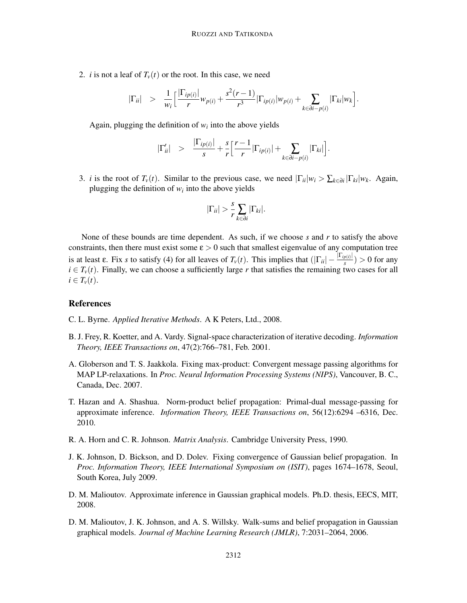2. *i* is not a leaf of  $T_v(t)$  or the root. In this case, we need

$$
|\Gamma_{ii}|
$$
 >  $\frac{1}{w_i} \left[ \frac{|\Gamma_{ip(i)}|}{r} w_{p(i)} + \frac{s^2(r-1)}{r^3} |\Gamma_{ip(i)}| w_{p(i)} + \sum_{k \in \partial i - p(i)} |\Gamma_{ki}| w_k \right].$ 

Again, plugging the definition of  $w_i$  into the above yields

$$
|\Gamma'_{ii}| > \frac{|\Gamma_{ip(i)}|}{s} + \frac{s}{r} \Big[\frac{r-1}{r}|\Gamma_{ip(i)}| + \sum_{k \in \partial i - p(i)}|\Gamma_{ki}|\Big].
$$

3. *i* is the root of  $T_v(t)$ . Similar to the previous case, we need  $|\Gamma_{ii}|w_i > \sum_{k \in \partial i} |\Gamma_{ki}|w_k$ . Again, plugging the definition of  $w_i$  into the above yields

$$
|\Gamma_{ii}| > \frac{s}{r} \sum_{k \in \partial i} |\Gamma_{ki}|.
$$

None of these bounds are time dependent. As such, if we choose *s* and *r* to satisfy the above constraints, then there must exist some  $\epsilon > 0$  such that smallest eigenvalue of any computation tree is at least  $\varepsilon$ . Fix *s* to satisfy (4) for all leaves of  $T_v(t)$ . This implies that  $(|\Gamma_{ii}| - \frac{|\Gamma_{ip(i)}|}{s}) > 0$  for any  $i \in T$ <sup>v</sup> $(t)$ . Finally, we can choose a sufficiently large *r* that satisfies the remaining two cases for all  $i \in T_{\nu}(t)$ .

### References

- C. L. Byrne. *Applied Iterative Methods*. A K Peters, Ltd., 2008.
- B. J. Frey, R. Koetter, and A. Vardy. Signal-space characterization of iterative decoding. *Information Theory, IEEE Transactions on*, 47(2):766–781, Feb. 2001.
- A. Globerson and T. S. Jaakkola. Fixing max-product: Convergent message passing algorithms for MAP LP-relaxations. In *Proc. Neural Information Processing Systems (NIPS)*, Vancouver, B. C., Canada, Dec. 2007.
- T. Hazan and A. Shashua. Norm-product belief propagation: Primal-dual message-passing for approximate inference. *Information Theory, IEEE Transactions on*, 56(12):6294 –6316, Dec. 2010.
- R. A. Horn and C. R. Johnson. *Matrix Analysis*. Cambridge University Press, 1990.
- J. K. Johnson, D. Bickson, and D. Dolev. Fixing convergence of Gaussian belief propagation. In *Proc. Information Theory, IEEE International Symposium on (ISIT)*, pages 1674–1678, Seoul, South Korea, July 2009.
- D. M. Malioutov. Approximate inference in Gaussian graphical models. Ph.D. thesis, EECS, MIT, 2008.
- D. M. Malioutov, J. K. Johnson, and A. S. Willsky. Walk-sums and belief propagation in Gaussian graphical models. *Journal of Machine Learning Research (JMLR)*, 7:2031–2064, 2006.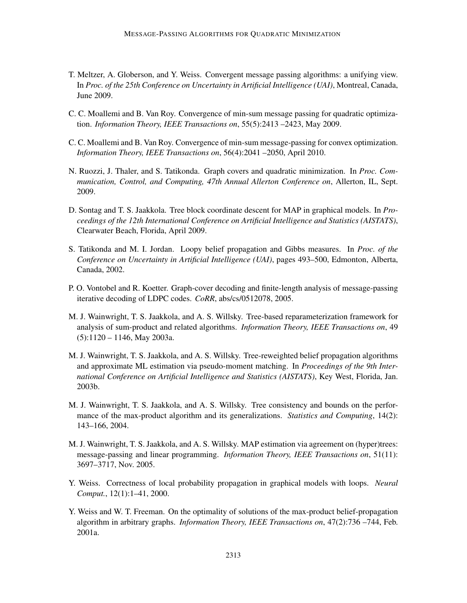- T. Meltzer, A. Globerson, and Y. Weiss. Convergent message passing algorithms: a unifying view. In *Proc. of the 25th Conference on Uncertainty in Artificial Intelligence (UAI)*, Montreal, Canada, June 2009.
- C. C. Moallemi and B. Van Roy. Convergence of min-sum message passing for quadratic optimization. *Information Theory, IEEE Transactions on*, 55(5):2413 –2423, May 2009.
- C. C. Moallemi and B. Van Roy. Convergence of min-sum message-passing for convex optimization. *Information Theory, IEEE Transactions on*, 56(4):2041 –2050, April 2010.
- N. Ruozzi, J. Thaler, and S. Tatikonda. Graph covers and quadratic minimization. In *Proc. Communication, Control, and Computing, 47th Annual Allerton Conference on*, Allerton, IL, Sept. 2009.
- D. Sontag and T. S. Jaakkola. Tree block coordinate descent for MAP in graphical models. In *Proceedings of the 12th International Conference on Artificial Intelligence and Statistics (AISTATS)*, Clearwater Beach, Florida, April 2009.
- S. Tatikonda and M. I. Jordan. Loopy belief propagation and Gibbs measures. In *Proc. of the Conference on Uncertainty in Artificial Intelligence (UAI)*, pages 493–500, Edmonton, Alberta, Canada, 2002.
- P. O. Vontobel and R. Koetter. Graph-cover decoding and finite-length analysis of message-passing iterative decoding of LDPC codes. *CoRR*, abs/cs/0512078, 2005.
- M. J. Wainwright, T. S. Jaakkola, and A. S. Willsky. Tree-based reparameterization framework for analysis of sum-product and related algorithms. *Information Theory, IEEE Transactions on*, 49 (5):1120 – 1146, May 2003a.
- M. J. Wainwright, T. S. Jaakkola, and A. S. Willsky. Tree-reweighted belief propagation algorithms and approximate ML estimation via pseudo-moment matching. In *Proceedings of the 9th International Conference on Artificial Intelligence and Statistics (AISTATS)*, Key West, Florida, Jan. 2003b.
- M. J. Wainwright, T. S. Jaakkola, and A. S. Willsky. Tree consistency and bounds on the performance of the max-product algorithm and its generalizations. *Statistics and Computing*, 14(2): 143–166, 2004.
- M. J. Wainwright, T. S. Jaakkola, and A. S. Willsky. MAP estimation via agreement on (hyper)trees: message-passing and linear programming. *Information Theory, IEEE Transactions on*, 51(11): 3697–3717, Nov. 2005.
- Y. Weiss. Correctness of local probability propagation in graphical models with loops. *Neural Comput.*, 12(1):1–41, 2000.
- Y. Weiss and W. T. Freeman. On the optimality of solutions of the max-product belief-propagation algorithm in arbitrary graphs. *Information Theory, IEEE Transactions on*, 47(2):736 –744, Feb. 2001a.